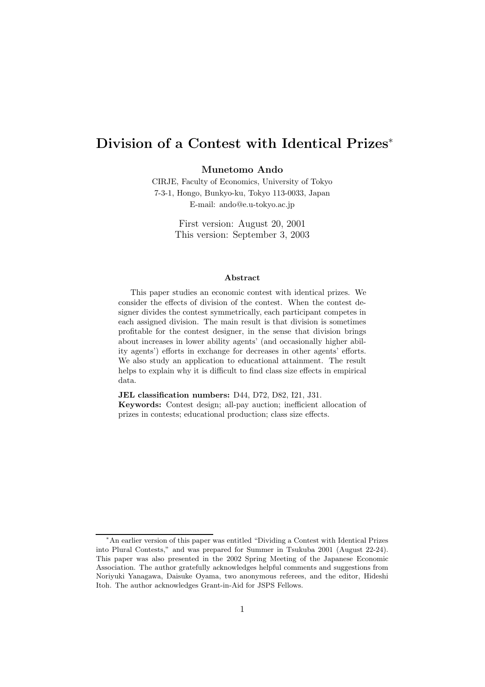# **Division of a Contest with Identical Prizes**<sup>∗</sup>

#### **Munetomo Ando**

CIRJE, Faculty of Economics, University of Tokyo 7-3-1, Hongo, Bunkyo-ku, Tokyo 113-0033, Japan E-mail: ando@e.u-tokyo.ac.jp

> First version: August 20, 2001 This version: September 3, 2003

#### **Abstract**

This paper studies an economic contest with identical prizes. We consider the effects of division of the contest. When the contest designer divides the contest symmetrically, each participant competes in each assigned division. The main result is that division is sometimes profitable for the contest designer, in the sense that division brings about increases in lower ability agents' (and occasionally higher ability agents') efforts in exchange for decreases in other agents' efforts. We also study an application to educational attainment. The result helps to explain why it is difficult to find class size effects in empirical data.

**JEL classification numbers:** D44, D72, D82, I21, J31.

**Keywords:** Contest design; all-pay auction; inefficient allocation of prizes in contests; educational production; class size effects.

<sup>∗</sup>An earlier version of this paper was entitled "Dividing a Contest with Identical Prizes into Plural Contests," and was prepared for Summer in Tsukuba 2001 (August 22-24). This paper was also presented in the 2002 Spring Meeting of the Japanese Economic Association. The author gratefully acknowledges helpful comments and suggestions from Noriyuki Yanagawa, Daisuke Oyama, two anonymous referees, and the editor, Hideshi Itoh. The author acknowledges Grant-in-Aid for JSPS Fellows.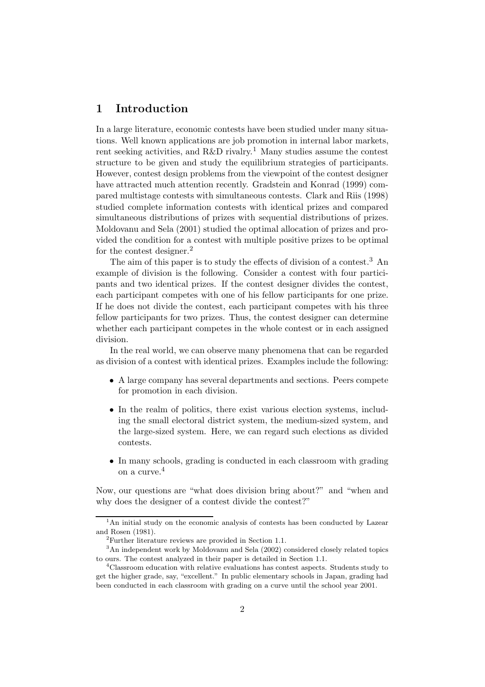## **1 Introduction**

In a large literature, economic contests have been studied under many situations. Well known applications are job promotion in internal labor markets, rent seeking activities, and  $R\&D$  rivalry.<sup>1</sup> Many studies assume the contest structure to be given and study the equilibrium strategies of participants. However, contest design problems from the viewpoint of the contest designer have attracted much attention recently. Gradstein and Konrad (1999) compared multistage contests with simultaneous contests. Clark and Riis (1998) studied complete information contests with identical prizes and compared simultaneous distributions of prizes with sequential distributions of prizes. Moldovanu and Sela (2001) studied the optimal allocation of prizes and provided the condition for a contest with multiple positive prizes to be optimal for the contest designer.<sup>2</sup>

The aim of this paper is to study the effects of division of a contest.<sup>3</sup> An example of division is the following. Consider a contest with four participants and two identical prizes. If the contest designer divides the contest, each participant competes with one of his fellow participants for one prize. If he does not divide the contest, each participant competes with his three fellow participants for two prizes. Thus, the contest designer can determine whether each participant competes in the whole contest or in each assigned division.

In the real world, we can observe many phenomena that can be regarded as division of a contest with identical prizes. Examples include the following:

- A large company has several departments and sections. Peers compete for promotion in each division.
- In the realm of politics, there exist various election systems, including the small electoral district system, the medium-sized system, and the large-sized system. Here, we can regard such elections as divided contests.
- In many schools, grading is conducted in each classroom with grading on a curve.<sup>4</sup>

Now, our questions are "what does division bring about?" and "when and why does the designer of a contest divide the contest?"

<sup>&</sup>lt;sup>1</sup>An initial study on the economic analysis of contests has been conducted by Lazear and Rosen (1981).

<sup>2</sup>Further literature reviews are provided in Section 1.1.

<sup>3</sup>An independent work by Moldovanu and Sela (2002) considered closely related topics to ours. The contest analyzed in their paper is detailed in Section 1.1.

<sup>4</sup>Classroom education with relative evaluations has contest aspects. Students study to get the higher grade, say, "excellent." In public elementary schools in Japan, grading had been conducted in each classroom with grading on a curve until the school year 2001.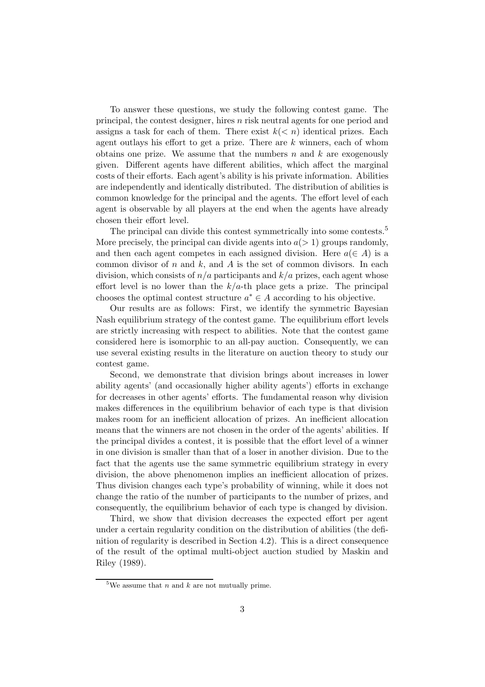To answer these questions, we study the following contest game. The principal, the contest designer, hires  $n$  risk neutral agents for one period and assigns a task for each of them. There exist  $k(< n)$  identical prizes. Each agent outlays his effort to get a prize. There are  $k$  winners, each of whom obtains one prize. We assume that the numbers  $n$  and  $k$  are exogenously given. Different agents have different abilities, which affect the marginal costs of their efforts. Each agent's ability is his private information. Abilities are independently and identically distributed. The distribution of abilities is common knowledge for the principal and the agents. The effort level of each agent is observable by all players at the end when the agents have already chosen their effort level.

The principal can divide this contest symmetrically into some contests.<sup>5</sup> More precisely, the principal can divide agents into  $a(>1)$  groups randomly, and then each agent competes in each assigned division. Here  $a(\in A)$  is a common divisor of  $n$  and  $k$ , and  $A$  is the set of common divisors. In each division, which consists of  $n/a$  participants and  $k/a$  prizes, each agent whose effort level is no lower than the  $k/a$ -th place gets a prize. The principal chooses the optimal contest structure  $a^* \in A$  according to his objective.

Our results are as follows: First, we identify the symmetric Bayesian Nash equilibrium strategy of the contest game. The equilibrium effort levels are strictly increasing with respect to abilities. Note that the contest game considered here is isomorphic to an all-pay auction. Consequently, we can use several existing results in the literature on auction theory to study our contest game.

Second, we demonstrate that division brings about increases in lower ability agents' (and occasionally higher ability agents') efforts in exchange for decreases in other agents' efforts. The fundamental reason why division makes differences in the equilibrium behavior of each type is that division makes room for an inefficient allocation of prizes. An inefficient allocation means that the winners are not chosen in the order of the agents' abilities. If the principal divides a contest, it is possible that the effort level of a winner in one division is smaller than that of a loser in another division. Due to the fact that the agents use the same symmetric equilibrium strategy in every division, the above phenomenon implies an inefficient allocation of prizes. Thus division changes each type's probability of winning, while it does not change the ratio of the number of participants to the number of prizes, and consequently, the equilibrium behavior of each type is changed by division.

Third, we show that division decreases the expected effort per agent under a certain regularity condition on the distribution of abilities (the definition of regularity is described in Section 4.2). This is a direct consequence of the result of the optimal multi-object auction studied by Maskin and Riley (1989).

<sup>&</sup>lt;sup>5</sup>We assume that *n* and *k* are not mutually prime.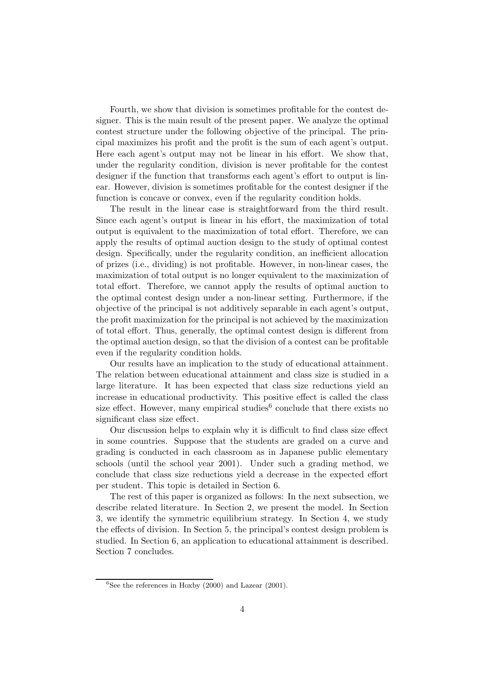Fourth, we show that division is sometimes profitable for the contest designer. This is the main result of the present paper. We analyze the optimal contest structure under the following objective of the principal. The principal maximizes his profit and the profit is the sum of each agent's output. Here each agent's output may not be linear in his effort. We show that, under the regularity condition, division is never profitable for the contest designer if the function that transforms each agent's effort to output is linear. However, division is sometimes profitable for the contest designer if the function is concave or convex, even if the regularity condition holds.

The result in the linear case is straightforward from the third result. Since each agent's output is linear in his effort, the maximization of total output is equivalent to the maximization of total effort. Therefore, we can apply the results of optimal auction design to the study of optimal contest design. Specifically, under the regularity condition, an inefficient allocation of prizes (i.e., dividing) is not profitable. However, in non-linear cases, the maximization of total output is no longer equivalent to the maximization of total effort. Therefore, we cannot apply the results of optimal auction to the optimal contest design under a non-linear setting. Furthermore, if the objective of the principal is not additively separable in each agent's output, the profit maximization for the principal is not achieved by the maximization of total effort. Thus, generally, the optimal contest design is different from the optimal auction design, so that the division of a contest can be profitable even if the regularity condition holds.

Our results have an implication to the study of educational attainment. The relation between educational attainment and class size is studied in a large literature. It has been expected that class size reductions yield an increase in educational productivity. This positive effect is called the class size effect. However, many empirical studies $6$  conclude that there exists no significant class size effect.

Our discussion helps to explain why it is difficult to find class size effect in some countries. Suppose that the students are graded on a curve and grading is conducted in each classroom as in Japanese public elementary schools (until the school year 2001). Under such a grading method, we conclude that class size reductions yield a decrease in the expected effort per student. This topic is detailed in Section 6.

The rest of this paper is organized as follows: In the next subsection, we describe related literature. In Section 2, we present the model. In Section 3, we identify the symmetric equilibrium strategy. In Section 4, we study the effects of division. In Section 5, the principal's contest design problem is studied. In Section 6, an application to educational attainment is described. Section 7 concludes.

 ${}^{6}$ See the references in Hoxby (2000) and Lazear (2001).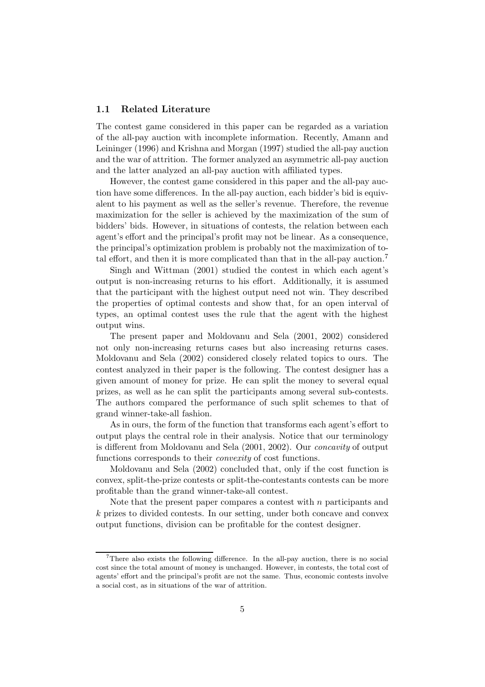#### **1.1 Related Literature**

The contest game considered in this paper can be regarded as a variation of the all-pay auction with incomplete information. Recently, Amann and Leininger (1996) and Krishna and Morgan (1997) studied the all-pay auction and the war of attrition. The former analyzed an asymmetric all-pay auction and the latter analyzed an all-pay auction with affiliated types.

However, the contest game considered in this paper and the all-pay auction have some differences. In the all-pay auction, each bidder's bid is equivalent to his payment as well as the seller's revenue. Therefore, the revenue maximization for the seller is achieved by the maximization of the sum of bidders' bids. However, in situations of contests, the relation between each agent's effort and the principal's profit may not be linear. As a consequence, the principal's optimization problem is probably not the maximization of total effort, and then it is more complicated than that in the all-pay auction.<sup>7</sup>

Singh and Wittman (2001) studied the contest in which each agent's output is non-increasing returns to his effort. Additionally, it is assumed that the participant with the highest output need not win. They described the properties of optimal contests and show that, for an open interval of types, an optimal contest uses the rule that the agent with the highest output wins.

The present paper and Moldovanu and Sela (2001, 2002) considered not only non-increasing returns cases but also increasing returns cases. Moldovanu and Sela (2002) considered closely related topics to ours. The contest analyzed in their paper is the following. The contest designer has a given amount of money for prize. He can split the money to several equal prizes, as well as he can split the participants among several sub-contests. The authors compared the performance of such split schemes to that of grand winner-take-all fashion.

As in ours, the form of the function that transforms each agent's effort to output plays the central role in their analysis. Notice that our terminology is different from Moldovanu and Sela (2001, 2002). Our *concavity* of output functions corresponds to their *convexity* of cost functions.

Moldovanu and Sela (2002) concluded that, only if the cost function is convex, split-the-prize contests or split-the-contestants contests can be more profitable than the grand winner-take-all contest.

Note that the present paper compares a contest with  $n$  participants and k prizes to divided contests. In our setting, under both concave and convex output functions, division can be profitable for the contest designer.

<sup>&</sup>lt;sup>7</sup>There also exists the following difference. In the all-pay auction, there is no social cost since the total amount of money is unchanged. However, in contests, the total cost of agents' effort and the principal's profit are not the same. Thus, economic contests involve a social cost, as in situations of the war of attrition.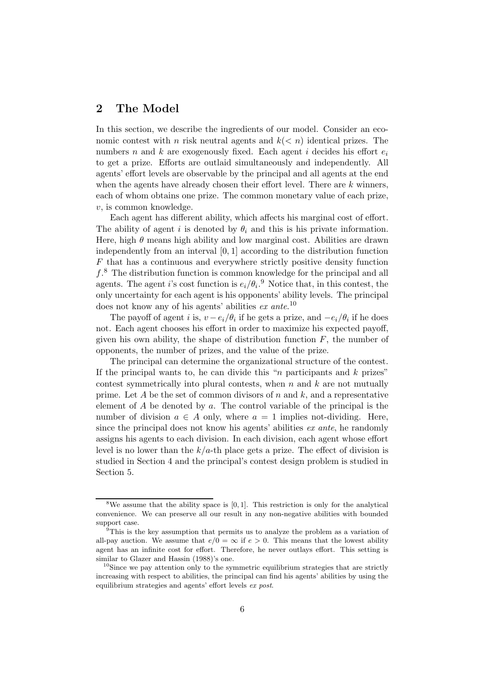# **2 The Model**

In this section, we describe the ingredients of our model. Consider an economic contest with n risk neutral agents and  $k(< n)$  identical prizes. The numbers n and k are exogenously fixed. Each agent i decides his effort  $e_i$ to get a prize. Efforts are outlaid simultaneously and independently. All agents' effort levels are observable by the principal and all agents at the end when the agents have already chosen their effort level. There are  $k$  winners, each of whom obtains one prize. The common monetary value of each prize, v, is common knowledge.

Each agent has different ability, which affects his marginal cost of effort. The ability of agent i is denoted by  $\theta_i$  and this is his private information. Here, high  $\theta$  means high ability and low marginal cost. Abilities are drawn independently from an interval [0, 1] according to the distribution function  $F$  that has a continuous and everywhere strictly positive density function f. <sup>8</sup> The distribution function is common knowledge for the principal and all agents. The agent i's cost function is  $e_i/\theta_i$ <sup>9</sup>. Notice that, in this contest, the only uncertainty for each agent is his opponents' ability levels. The principal does not know any of his agents' abilities *ex ante*. 10

The payoff of agent i is,  $v - e_i/\theta_i$  if he gets a prize, and  $-e_i/\theta_i$  if he does not. Each agent chooses his effort in order to maximize his expected payoff, given his own ability, the shape of distribution function  $F$ , the number of opponents, the number of prizes, and the value of the prize.

The principal can determine the organizational structure of the contest. If the principal wants to, he can divide this "*n* participants and  $k$  prizes" contest symmetrically into plural contests, when  $n$  and  $k$  are not mutually prime. Let A be the set of common divisors of n and k, and a representative element of  $A$  be denoted by  $a$ . The control variable of the principal is the number of division  $a \in A$  only, where  $a = 1$  implies not-dividing. Here, since the principal does not know his agents' abilities *ex ante*, he randomly assigns his agents to each division. In each division, each agent whose effort level is no lower than the  $k/a$ -th place gets a prize. The effect of division is studied in Section 4 and the principal's contest design problem is studied in Section 5.

<sup>8</sup>We assume that the ability space is [0*,* 1]. This restriction is only for the analytical convenience. We can preserve all our result in any non-negative abilities with bounded support case.

This is the key assumption that permits us to analyze the problem as a variation of all-pay auction. We assume that  $e/0 = \infty$  if  $e > 0$ . This means that the lowest ability agent has an infinite cost for effort. Therefore, he never outlays effort. This setting is similar to Glazer and Hassin (1988)'s one.

 $10$ Since we pay attention only to the symmetric equilibrium strategies that are strictly increasing with respect to abilities, the principal can find his agents' abilities by using the equilibrium strategies and agents' effort levels *ex post*.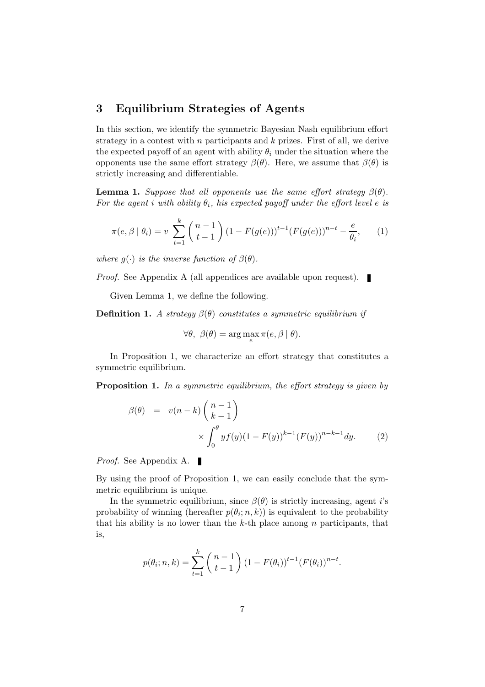## **3 Equilibrium Strategies of Agents**

In this section, we identify the symmetric Bayesian Nash equilibrium effort strategy in a contest with  $n$  participants and  $k$  prizes. First of all, we derive the expected payoff of an agent with ability  $\theta_i$  under the situation where the opponents use the same effort strategy  $\beta(\theta)$ . Here, we assume that  $\beta(\theta)$  is strictly increasing and differentiable.

**Lemma 1.** *Suppose that all opponents use the same effort strategy*  $\beta(\theta)$ *. For the agent i with ability*  $\theta_i$ *, his expected payoff under the effort level e is* 

$$
\pi(e,\beta \mid \theta_i) = v \sum_{t=1}^{k} {n-1 \choose t-1} (1 - F(g(e)))^{t-1} (F(g(e)))^{n-t} - \frac{e}{\theta_i}, \qquad (1)
$$

*where*  $g(\cdot)$  *is the inverse function of*  $\beta(\theta)$ *.* 

*Proof.* See Appendix A (all appendices are available upon request).

Given Lemma 1, we define the following.

**Definition 1.** *A strategy*  $\beta(\theta)$  *constitutes a symmetric equilibrium if* 

$$
\forall \theta, \ \beta(\theta) = \arg\max_{e} \pi(e, \beta \mid \theta).
$$

In Proposition 1, we characterize an effort strategy that constitutes a symmetric equilibrium.

**Proposition 1.** *In a symmetric equilibrium, the effort strategy is given by*

$$
\beta(\theta) = v(n-k) \binom{n-1}{k-1} \times \int_0^{\theta} y f(y) (1 - F(y))^{k-1} (F(y))^{n-k-1} dy.
$$
 (2)

*Proof.* See Appendix A. ■

By using the proof of Proposition 1, we can easily conclude that the symmetric equilibrium is unique.

In the symmetric equilibrium, since  $\beta(\theta)$  is strictly increasing, agent i's probability of winning (hereafter  $p(\theta_i; n, k)$ ) is equivalent to the probability that his ability is no lower than the  $k$ -th place among n participants, that is,

$$
p(\theta_i; n, k) = \sum_{t=1}^k {n-1 \choose t-1} (1 - F(\theta_i))^{t-1} (F(\theta_i))^{n-t}.
$$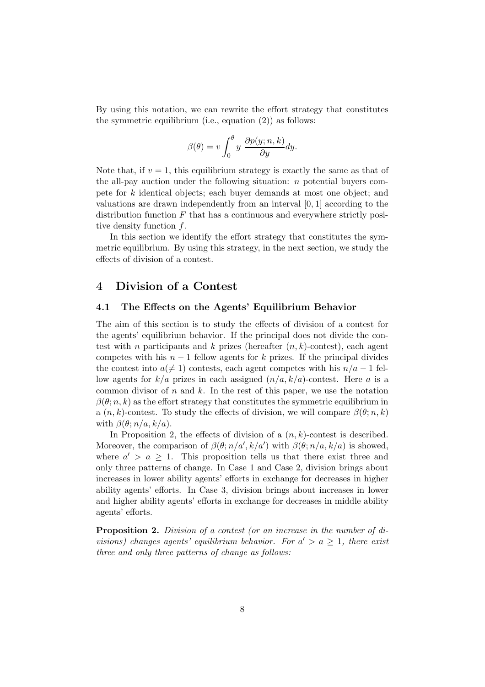By using this notation, we can rewrite the effort strategy that constitutes the symmetric equilibrium (i.e., equation (2)) as follows:

$$
\beta(\theta) = v \int_0^{\theta} y \, \frac{\partial p(y; n, k)}{\partial y} dy.
$$

Note that, if  $v = 1$ , this equilibrium strategy is exactly the same as that of the all-pay auction under the following situation:  $n$  potential buyers compete for k identical objects; each buyer demands at most one object; and valuations are drawn independently from an interval [0, 1] according to the distribution function  $F$  that has a continuous and everywhere strictly positive density function f.

In this section we identify the effort strategy that constitutes the symmetric equilibrium. By using this strategy, in the next section, we study the effects of division of a contest.

### **4 Division of a Contest**

#### **4.1 The Effects on the Agents' Equilibrium Behavior**

The aim of this section is to study the effects of division of a contest for the agents' equilibrium behavior. If the principal does not divide the contest with *n* participants and *k* prizes (hereafter  $(n, k)$ -contest), each agent competes with his  $n-1$  fellow agents for k prizes. If the principal divides the contest into  $a(\neq 1)$  contests, each agent competes with his  $n/a - 1$  fellow agents for  $k/a$  prizes in each assigned  $(n/a, k/a)$ -contest. Here a is a common divisor of  $n$  and  $k$ . In the rest of this paper, we use the notation  $\beta(\theta; n, k)$  as the effort strategy that constitutes the symmetric equilibrium in a  $(n, k)$ -contest. To study the effects of division, we will compare  $\beta(\theta; n, k)$ with  $\beta(\theta; n/a, k/a)$ .

In Proposition 2, the effects of division of a  $(n, k)$ -contest is described. Moreover, the comparison of  $\beta(\theta; n/a', k/a')$  with  $\beta(\theta; n/a, k/a)$  is showed, where  $a' > a \geq 1$ . This proposition tells us that there exist three and only three patterns of change. In Case 1 and Case 2, division brings about increases in lower ability agents' efforts in exchange for decreases in higher ability agents' efforts. In Case 3, division brings about increases in lower and higher ability agents' efforts in exchange for decreases in middle ability agents' efforts.

**Proposition 2.** *Division of a contest (or an increase in the number of divisions)* changes agents' equilibrium behavior. For  $a' > a \geq 1$ , there exist *three and only three patterns of change as follows:*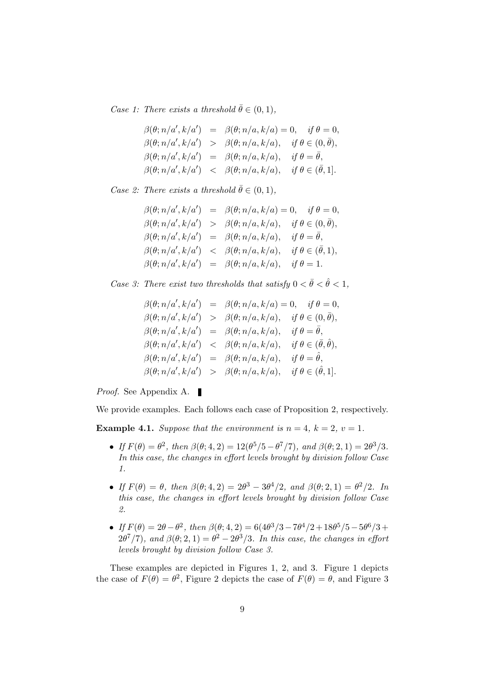*Case 1: There exists a threshold*  $\bar{\theta} \in (0, 1)$ *,* 

|                                                           | $\beta(\theta; n/a', k/a') = \beta(\theta; n/a, k/a) = 0, \quad \text{if } \theta = 0,$         |                               |
|-----------------------------------------------------------|-------------------------------------------------------------------------------------------------|-------------------------------|
|                                                           | $\beta(\theta; n/a', k/a') > \beta(\theta; n/a, k/a), \quad \text{if } \theta \in (0, \theta),$ |                               |
| $\beta(\theta; n/a', k/a') = \beta(\theta; n/a, k/a),$    |                                                                                                 | if $\theta = \theta$ ,        |
| $\beta(\theta; n/a', k/a') \leq \beta(\theta; n/a, k/a),$ |                                                                                                 | if $\theta \in (\theta, 1]$ . |

*Case 2: There exists a threshold*  $\bar{\theta} \in (0, 1)$ *,* 

|                                                                    | $\beta(\theta; n/a', k/a') = \beta(\theta; n/a, k/a) = 0, \quad \text{if } \theta = 0,$         |                               |
|--------------------------------------------------------------------|-------------------------------------------------------------------------------------------------|-------------------------------|
|                                                                    | $\beta(\theta; n/a', k/a') > \beta(\theta; n/a, k/a), \quad \text{if } \theta \in (0, \theta),$ |                               |
| $\beta(\theta;n/a',k/a') \;\; = \;\; \beta(\theta;n/a,k/a),$       |                                                                                                 | if $\theta = \theta$ ,        |
| $\beta(\theta; n/a', k/a') \quad < \quad \beta(\theta; n/a, k/a),$ |                                                                                                 | if $\theta \in (\theta, 1)$ , |
| $\beta(\theta; n/a', k/a') = \beta(\theta; n/a, k/a),$             |                                                                                                 | if $\theta = 1$ .             |

*Case 3: There exist two thresholds that satisfy*  $0 < \bar{\theta} < \hat{\theta} < 1$ ,

$$
\beta(\theta; n/a', k/a') = \beta(\theta; n/a, k/a) = 0, \quad \text{if } \theta = 0,
$$
  
\n
$$
\beta(\theta; n/a', k/a') > \beta(\theta; n/a, k/a), \quad \text{if } \theta \in (0, \bar{\theta}),
$$
  
\n
$$
\beta(\theta; n/a', k/a') = \beta(\theta; n/a, k/a), \quad \text{if } \theta = \bar{\theta},
$$
  
\n
$$
\beta(\theta; n/a', k/a') < \beta(\theta; n/a, k/a), \quad \text{if } \theta \in (\bar{\theta}, \hat{\theta}),
$$
  
\n
$$
\beta(\theta; n/a', k/a') = \beta(\theta; n/a, k/a), \quad \text{if } \theta = \hat{\theta},
$$
  
\n
$$
\beta(\theta; n/a', k/a') > \beta(\theta; n/a, k/a), \quad \text{if } \theta \in (\hat{\theta}, 1].
$$

*Proof.* See Appendix A.

We provide examples. Each follows each case of Proposition 2, respectively.

**Example 4.1.** *Suppose that the environment is*  $n = 4$ ,  $k = 2$ ,  $v = 1$ *.* 

- *If*  $F(\theta) = \theta^2$ *, then*  $\beta(\theta; 4, 2) = 12(\theta^5/5 \theta^7/7)$ *, and*  $\beta(\theta; 2, 1) = 2\theta^3/3$ *. In this case, the changes in effort levels brought by division follow Case 1.*
- *If*  $F(\theta) = \theta$ *, then*  $\beta(\theta; 4, 2) = 2\theta^3 3\theta^4/2$ *, and*  $\beta(\theta; 2, 1) = \theta^2/2$ *. In this case, the changes in effort levels brought by division follow Case 2.*
- *If*  $F(\theta) = 2\theta \theta^2$ , then  $\beta(\theta; 4, 2) = 6(4\theta^3/3 7\theta^4/2 + 18\theta^5/5 5\theta^6/3 +$  $2\theta^7/7$ , and  $\beta(\theta; 2, 1) = \theta^2 - 2\theta^3/3$ . In this case, the changes in effort *levels brought by division follow Case 3.*

These examples are depicted in Figures 1, 2, and 3. Figure 1 depicts the case of  $F(\theta) = \theta^2$ , Figure 2 depicts the case of  $F(\theta) = \theta$ , and Figure 3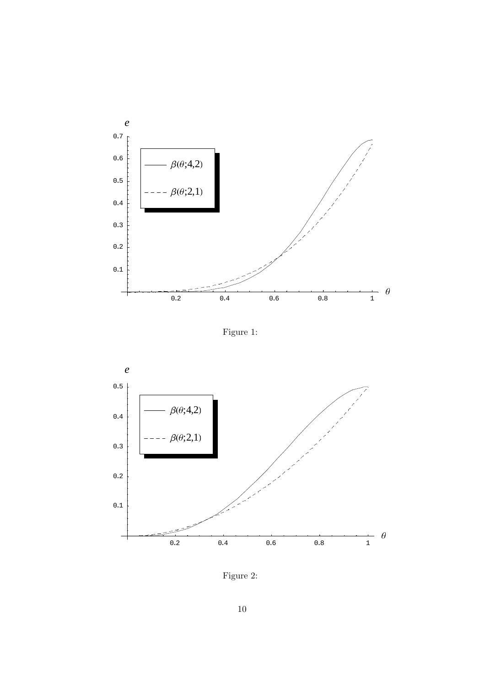

Figure 1:



Figure 2: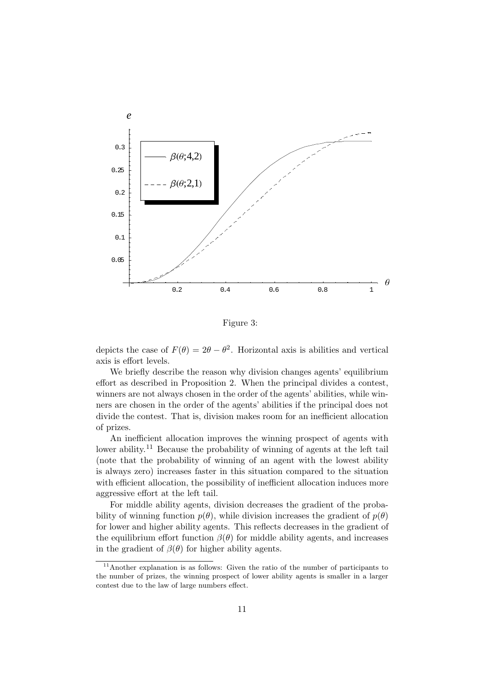

Figure 3:

depicts the case of  $F(\theta)=2\theta-\theta^2$ . Horizontal axis is abilities and vertical axis is effort levels.

We briefly describe the reason why division changes agents' equilibrium effort as described in Proposition 2. When the principal divides a contest, winners are not always chosen in the order of the agents' abilities, while winners are chosen in the order of the agents' abilities if the principal does not divide the contest. That is, division makes room for an inefficient allocation of prizes.

An inefficient allocation improves the winning prospect of agents with lower ability.<sup>11</sup> Because the probability of winning of agents at the left tail (note that the probability of winning of an agent with the lowest ability is always zero) increases faster in this situation compared to the situation with efficient allocation, the possibility of inefficient allocation induces more aggressive effort at the left tail.

For middle ability agents, division decreases the gradient of the probability of winning function  $p(\theta)$ , while division increases the gradient of  $p(\theta)$ for lower and higher ability agents. This reflects decreases in the gradient of the equilibrium effort function  $\beta(\theta)$  for middle ability agents, and increases in the gradient of  $\beta(\theta)$  for higher ability agents.

<sup>&</sup>lt;sup>11</sup>Another explanation is as follows: Given the ratio of the number of participants to the number of prizes, the winning prospect of lower ability agents is smaller in a larger contest due to the law of large numbers effect.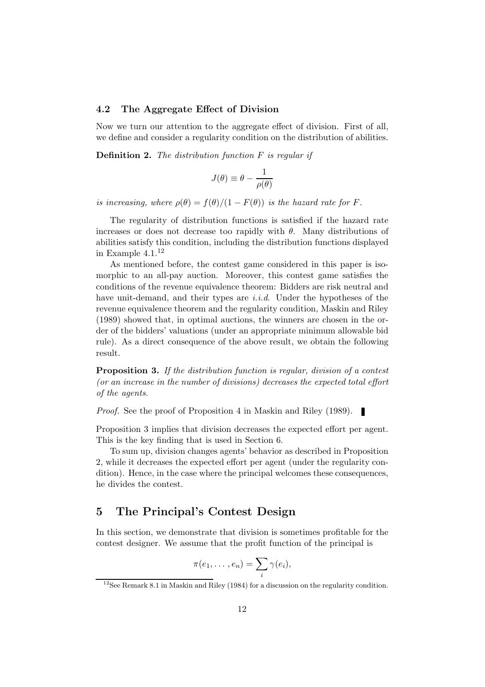#### **4.2 The Aggregate Effect of Division**

Now we turn our attention to the aggregate effect of division. First of all, we define and consider a regularity condition on the distribution of abilities.

**Definition 2.** *The distribution function* F *is regular if*

$$
J(\theta) \equiv \theta - \frac{1}{\rho(\theta)}
$$

*is increasing, where*  $\rho(\theta) = f(\theta)/(1 - F(\theta))$  *is the hazard rate for* F.

The regularity of distribution functions is satisfied if the hazard rate increases or does not decrease too rapidly with  $\theta$ . Many distributions of abilities satisfy this condition, including the distribution functions displayed in Example  $4.1^{12}$ 

As mentioned before, the contest game considered in this paper is isomorphic to an all-pay auction. Moreover, this contest game satisfies the conditions of the revenue equivalence theorem: Bidders are risk neutral and have unit-demand, and their types are *i.i.d.* Under the hypotheses of the revenue equivalence theorem and the regularity condition, Maskin and Riley (1989) showed that, in optimal auctions, the winners are chosen in the order of the bidders' valuations (under an appropriate minimum allowable bid rule). As a direct consequence of the above result, we obtain the following result.

**Proposition 3.** *If the distribution function is regular, division of a contest (or an increase in the number of divisions) decreases the expected total effort of the agents.*

*Proof.* See the proof of Proposition 4 in Maskin and Riley (1989).

Proposition 3 implies that division decreases the expected effort per agent. This is the key finding that is used in Section 6.

To sum up, division changes agents' behavior as described in Proposition 2, while it decreases the expected effort per agent (under the regularity condition). Hence, in the case where the principal welcomes these consequences, he divides the contest.

# **5 The Principal's Contest Design**

In this section, we demonstrate that division is sometimes profitable for the contest designer. We assume that the profit function of the principal is

$$
\pi(e_1,\ldots,e_n)=\sum_i\gamma(e_i),
$$

 $12$ See Remark 8.1 in Maskin and Riley (1984) for a discussion on the regularity condition.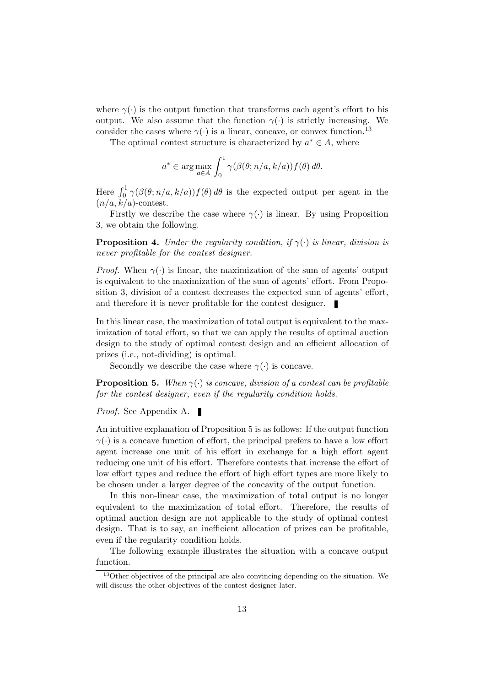where  $\gamma(\cdot)$  is the output function that transforms each agent's effort to his output. We also assume that the function  $\gamma(\cdot)$  is strictly increasing. We consider the cases where  $\gamma(\cdot)$  is a linear, concave, or convex function.<sup>13</sup>

The optimal contest structure is characterized by  $a^* \in A$ , where

$$
a^* \in \arg\max_{a \in A} \int_0^1 \gamma(\beta(\theta; n/a, k/a)) f(\theta) d\theta.
$$

Here  $\int_0^1 \gamma(\beta(\theta; n/a, k/a)) f(\theta) d\theta$  is the expected output per agent in the  $(n/a, k/a)$ -contest.

Firstly we describe the case where  $\gamma(\cdot)$  is linear. By using Proposition 3, we obtain the following.

**Proposition 4.** *Under the regularity condition, if*  $\gamma(\cdot)$  *is linear, division is never profitable for the contest designer.*

*Proof.* When  $\gamma(\cdot)$  is linear, the maximization of the sum of agents' output is equivalent to the maximization of the sum of agents' effort. From Proposition 3, division of a contest decreases the expected sum of agents' effort, and therefore it is never profitable for the contest designer.

In this linear case, the maximization of total output is equivalent to the maximization of total effort, so that we can apply the results of optimal auction design to the study of optimal contest design and an efficient allocation of prizes (i.e., not-dividing) is optimal.

Secondly we describe the case where  $\gamma(\cdot)$  is concave.

**Proposition 5.** *When*  $\gamma(\cdot)$  *is concave, division of a contest can be profitable for the contest designer, even if the regularity condition holds.*

#### *Proof.* See Appendix A. ■

An intuitive explanation of Proposition 5 is as follows: If the output function  $\gamma(\cdot)$  is a concave function of effort, the principal prefers to have a low effort agent increase one unit of his effort in exchange for a high effort agent reducing one unit of his effort. Therefore contests that increase the effort of low effort types and reduce the effort of high effort types are more likely to be chosen under a larger degree of the concavity of the output function.

In this non-linear case, the maximization of total output is no longer equivalent to the maximization of total effort. Therefore, the results of optimal auction design are not applicable to the study of optimal contest design. That is to say, an inefficient allocation of prizes can be profitable, even if the regularity condition holds.

The following example illustrates the situation with a concave output function.

<sup>&</sup>lt;sup>13</sup>Other objectives of the principal are also convincing depending on the situation. We will discuss the other objectives of the contest designer later.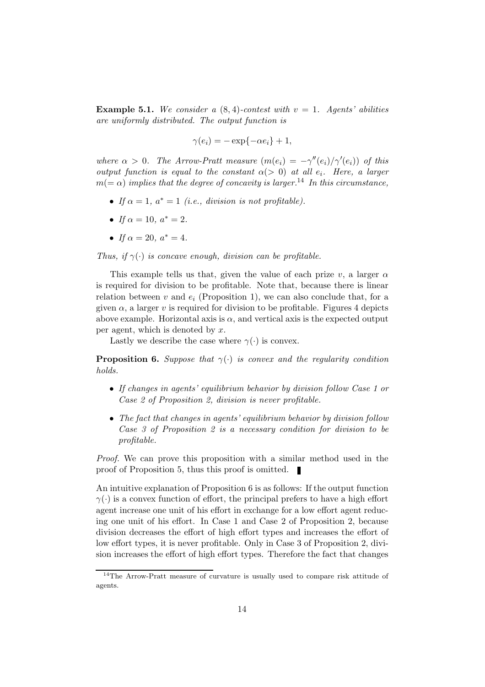**Example 5.1.** We consider a  $(8, 4)$ -contest with  $v = 1$ . Agents' abilities *are uniformly distributed. The output function is*

$$
\gamma(e_i) = -\exp\{-\alpha e_i\} + 1,
$$

*where*  $\alpha > 0$ . The Arrow-Pratt measure  $(m(e_i) = -\gamma''(e_i)/\gamma'(e_i))$  of this *output function is equal to the constant*  $\alpha(> 0)$  *at all*  $e_i$ *. Here, a larger*  $m(=\alpha)$  *implies that the degree of concavity is larger.*<sup>14</sup> *In this circumstance,* 

- *If*  $\alpha = 1$ ,  $a^* = 1$  *(i.e., division is not profitable).*
- *If*  $\alpha = 10$ ,  $a^* = 2$ .
- *If*  $\alpha = 20$ ,  $a^* = 4$ .

*Thus, if*  $\gamma(\cdot)$  *is concave enough, division can be profitable.* 

This example tells us that, given the value of each prize v, a larger  $\alpha$ is required for division to be profitable. Note that, because there is linear relation between v and  $e_i$  (Proposition 1), we can also conclude that, for a given  $\alpha$ , a larger v is required for division to be profitable. Figures 4 depicts above example. Horizontal axis is  $\alpha$ , and vertical axis is the expected output per agent, which is denoted by  $x$ .

Lastly we describe the case where  $\gamma(\cdot)$  is convex.

**Proposition 6.** *Suppose that*  $\gamma(\cdot)$  *is convex and the regularity condition holds.*

- *If changes in agents' equilibrium behavior by division follow Case 1 or Case 2 of Proposition 2, division is never profitable.*
- *The fact that changes in agents' equilibrium behavior by division follow Case 3 of Proposition 2 is a necessary condition for division to be profitable.*

*Proof.* We can prove this proposition with a similar method used in the proof of Proposition 5, thus this proof is omitted.

An intuitive explanation of Proposition 6 is as follows: If the output function  $\gamma(\cdot)$  is a convex function of effort, the principal prefers to have a high effort agent increase one unit of his effort in exchange for a low effort agent reducing one unit of his effort. In Case 1 and Case 2 of Proposition 2, because division decreases the effort of high effort types and increases the effort of low effort types, it is never profitable. Only in Case 3 of Proposition 2, division increases the effort of high effort types. Therefore the fact that changes

<sup>&</sup>lt;sup>14</sup>The Arrow-Pratt measure of curvature is usually used to compare risk attitude of agents.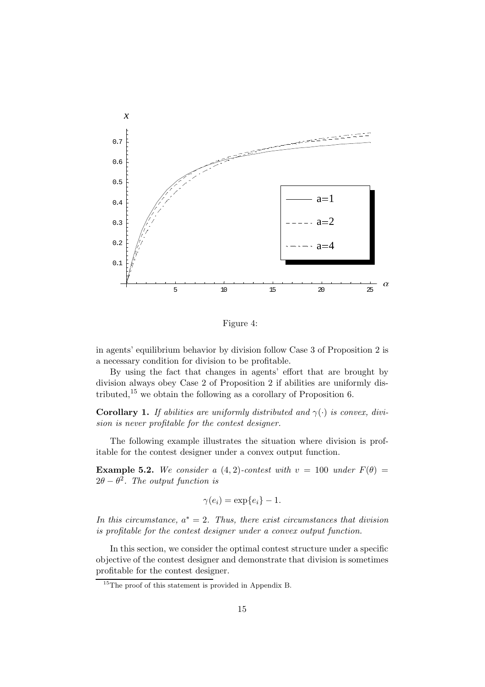

Figure 4:

in agents' equilibrium behavior by division follow Case 3 of Proposition 2 is a necessary condition for division to be profitable.

By using the fact that changes in agents' effort that are brought by division always obey Case 2 of Proposition 2 if abilities are uniformly distributed,<sup>15</sup> we obtain the following as a corollary of Proposition 6.

**Corollary 1.** *If abilities are uniformly distributed and*  $\gamma(\cdot)$  *is convex, division is never profitable for the contest designer.*

The following example illustrates the situation where division is profitable for the contest designer under a convex output function.

**Example 5.2.** *We consider a* (4, 2)*-contest with*  $v = 100$  *under*  $F(\theta) =$  $2\theta - \theta^2$ . The output function is

$$
\gamma(e_i) = \exp\{e_i\} - 1.
$$

*In this circumstance,* a∗ = 2*. Thus, there exist circumstances that division is profitable for the contest designer under a convex output function.*

In this section, we consider the optimal contest structure under a specific objective of the contest designer and demonstrate that division is sometimes profitable for the contest designer.

<sup>&</sup>lt;sup>15</sup>The proof of this statement is provided in Appendix B.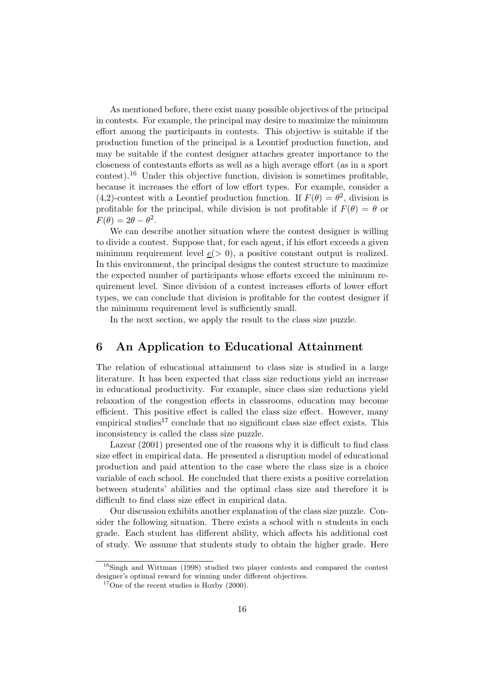As mentioned before, there exist many possible objectives of the principal in contests. For example, the principal may desire to maximize the minimum effort among the participants in contests. This objective is suitable if the production function of the principal is a Leontief production function, and may be suitable if the contest designer attaches greater importance to the closeness of contestants efforts as well as a high average effort (as in a sport  $\frac{16}{16}$  Under this objective function, division is sometimes profitable. because it increases the effort of low effort types. For example, consider a (4,2)-contest with a Leontief production function. If  $F(\theta) = \theta^2$ , division is profitable for the principal, while division is not profitable if  $F(\theta) = \theta$  or  $F(\theta)=2\theta-\theta^2$ .

We can describe another situation where the contest designer is willing to divide a contest. Suppose that, for each agent, if his effort exceeds a given minimum requirement level  $\epsilon$ ( $> 0$ ), a positive constant output is realized. In this environment, the principal designs the contest structure to maximize the expected number of participants whose efforts exceed the minimum requirement level. Since division of a contest increases efforts of lower effort types, we can conclude that division is profitable for the contest designer if the minimum requirement level is sufficiently small.

In the next section, we apply the result to the class size puzzle.

## **6 An Application to Educational Attainment**

The relation of educational attainment to class size is studied in a large literature. It has been expected that class size reductions yield an increase in educational productivity. For example, since class size reductions yield relaxation of the congestion effects in classrooms, education may become efficient. This positive effect is called the class size effect. However, many empirical studies<sup>17</sup> conclude that no significant class size effect exists. This inconsistency is called the class size puzzle.

Lazear (2001) presented one of the reasons why it is difficult to find class size effect in empirical data. He presented a disruption model of educational production and paid attention to the case where the class size is a choice variable of each school. He concluded that there exists a positive correlation between students' abilities and the optimal class size and therefore it is difficult to find class size effect in empirical data.

Our discussion exhibits another explanation of the class size puzzle. Consider the following situation. There exists a school with  $n$  students in each grade. Each student has different ability, which affects his additional cost of study. We assume that students study to obtain the higher grade. Here

<sup>16</sup>Singh and Wittman (1998) studied two player contests and compared the contest designer's optimal reward for winning under different objectives.

 $17$ One of the recent studies is Hoxby (2000).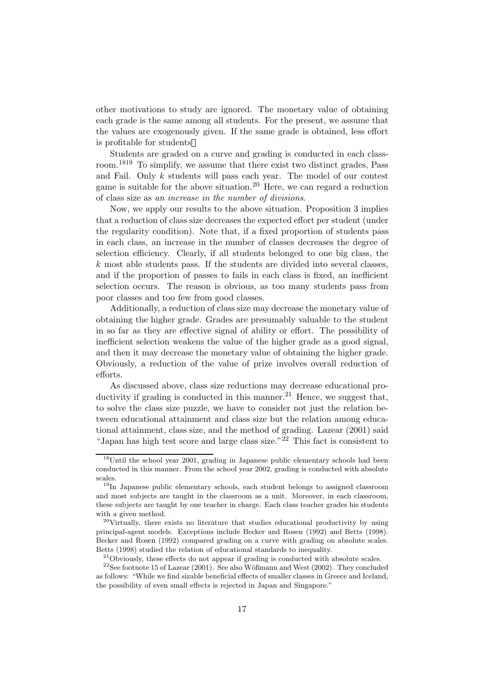other motivations to study are ignored. The monetary value of obtaining each grade is the same among all students. For the present, we assume that the values are exogenously given. If the same grade is obtained, less effort is profitable for students

Students are graded on a curve and grading is conducted in each classroom.<sup>1819</sup> To simplify, we assume that there exist two distinct grades, Pass and Fail. Only k students will pass each year. The model of our contest game is suitable for the above situation.<sup>20</sup> Here, we can regard a reduction of class size as *an increase in the number of divisions*.

Now, we apply our results to the above situation. Proposition 3 implies that a reduction of class size decreases the expected effort per student (under the regularity condition). Note that, if a fixed proportion of students pass in each class, an increase in the number of classes decreases the degree of selection efficiency. Clearly, if all students belonged to one big class, the  $k$  most able students pass. If the students are divided into several classes, and if the proportion of passes to fails in each class is fixed, an inefficient selection occurs. The reason is obvious, as too many students pass from poor classes and too few from good classes.

Additionally, a reduction of class size may decrease the monetary value of obtaining the higher grade. Grades are presumably valuable to the student in so far as they are effective signal of ability or effort. The possibility of inefficient selection weakens the value of the higher grade as a good signal, and then it may decrease the monetary value of obtaining the higher grade. Obviously, a reduction of the value of prize involves overall reduction of efforts.

As discussed above, class size reductions may decrease educational productivity if grading is conducted in this manner.<sup>21</sup> Hence, we suggest that, to solve the class size puzzle, we have to consider not just the relation between educational attainment and class size but the relation among educational attainment, class size, and the method of grading. Lazear (2001) said "Japan has high test score and large class size." <sup>22</sup> This fact is consistent to

<sup>18</sup>Until the school year 2001, grading in Japanese public elementary schools had been conducted in this manner. From the school year 2002, grading is conducted with absolute scales.

<sup>&</sup>lt;sup>19</sup>In Japanese public elementary schools, each student belongs to assigned classroom and most subjects are taught in the classroom as a unit. Moreover, in each classroom, these subjects are taught by one teacher in charge. Each class teacher grades his students with a given method.

 $20$ Virtually, there exists no literature that studies educational productivity by using principal-agent models. Exceptions include Becker and Rosen (1992) and Betts (1998). Becker and Rosen (1992) compared grading on a curve with grading on absolute scales. Betts (1998) studied the relation of educational standards to inequality.

 $21$ Obviously, these effects do not appear if grading is conducted with absolute scales.

<sup>&</sup>lt;sup>22</sup>See footnote 15 of Lazear (2001). See also Wößmann and West (2002). They concluded as follows: "While we find sizable beneficial effects of smaller classes in Greece and Iceland, the possibility of even small effects is rejected in Japan and Singapore."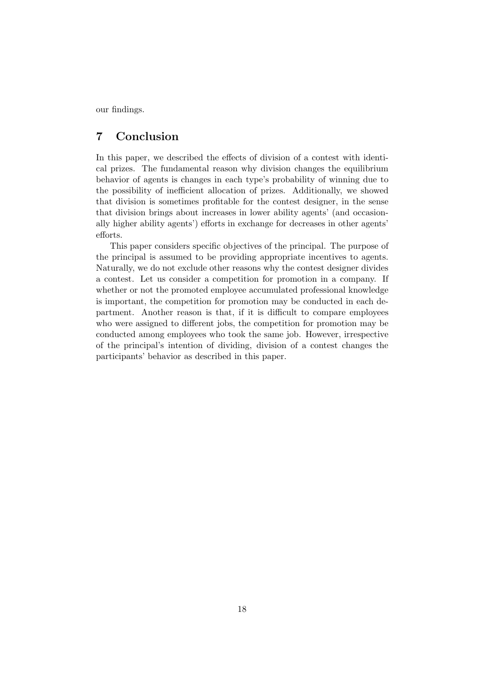our findings.

# **7 Conclusion**

In this paper, we described the effects of division of a contest with identical prizes. The fundamental reason why division changes the equilibrium behavior of agents is changes in each type's probability of winning due to the possibility of inefficient allocation of prizes. Additionally, we showed that division is sometimes profitable for the contest designer, in the sense that division brings about increases in lower ability agents' (and occasionally higher ability agents') efforts in exchange for decreases in other agents' efforts.

This paper considers specific objectives of the principal. The purpose of the principal is assumed to be providing appropriate incentives to agents. Naturally, we do not exclude other reasons why the contest designer divides a contest. Let us consider a competition for promotion in a company. If whether or not the promoted employee accumulated professional knowledge is important, the competition for promotion may be conducted in each department. Another reason is that, if it is difficult to compare employees who were assigned to different jobs, the competition for promotion may be conducted among employees who took the same job. However, irrespective of the principal's intention of dividing, division of a contest changes the participants' behavior as described in this paper.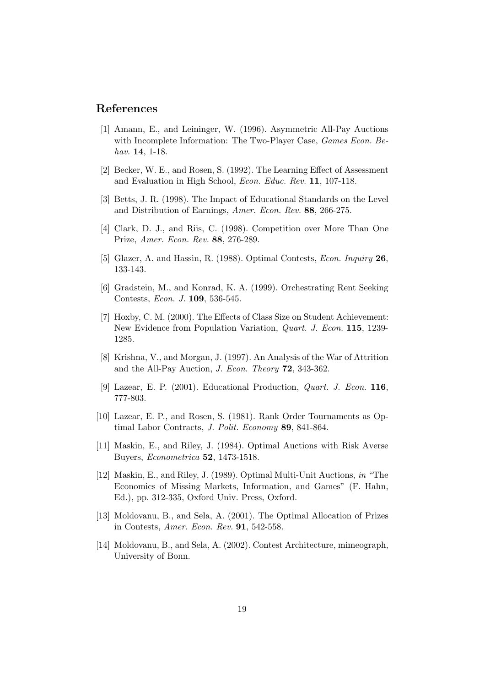### **References**

- [1] Amann, E., and Leininger, W. (1996). Asymmetric All-Pay Auctions with Incomplete Information: The Two-Player Case, *Games Econ. Behav.* **14**, 1-18.
- [2] Becker, W. E., and Rosen, S. (1992). The Learning Effect of Assessment and Evaluation in High School, *Econ. Educ. Rev.* **11**, 107-118.
- [3] Betts, J. R. (1998). The Impact of Educational Standards on the Level and Distribution of Earnings, *Amer. Econ. Rev.* **88**, 266-275.
- [4] Clark, D. J., and Riis, C. (1998). Competition over More Than One Prize, *Amer. Econ. Rev.* **88**, 276-289.
- [5] Glazer, A. and Hassin, R. (1988). Optimal Contests, *Econ. Inquiry* **26**, 133-143.
- [6] Gradstein, M., and Konrad, K. A. (1999). Orchestrating Rent Seeking Contests, *Econ. J.* **109**, 536-545.
- [7] Hoxby, C. M. (2000). The Effects of Class Size on Student Achievement: New Evidence from Population Variation, *Quart. J. Econ.* **115**, 1239- 1285.
- [8] Krishna, V., and Morgan, J. (1997). An Analysis of the War of Attrition and the All-Pay Auction, *J. Econ. Theory* **72**, 343-362.
- [9] Lazear, E. P. (2001). Educational Production, *Quart. J. Econ.* **116**, 777-803.
- [10] Lazear, E. P., and Rosen, S. (1981). Rank Order Tournaments as Optimal Labor Contracts, *J. Polit. Economy* **89**, 841-864.
- [11] Maskin, E., and Riley, J. (1984). Optimal Auctions with Risk Averse Buyers, *Econometrica* **52**, 1473-1518.
- [12] Maskin, E., and Riley, J. (1989). Optimal Multi-Unit Auctions, *in* "The Economics of Missing Markets, Information, and Games" (F. Hahn, Ed.), pp. 312-335, Oxford Univ. Press, Oxford.
- [13] Moldovanu, B., and Sela, A. (2001). The Optimal Allocation of Prizes in Contests, *Amer. Econ. Rev.* **91**, 542-558.
- [14] Moldovanu, B., and Sela, A. (2002). Contest Architecture, mimeograph, University of Bonn.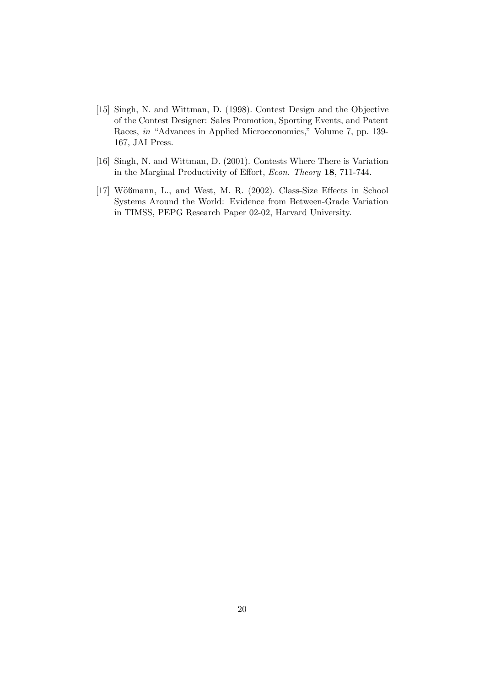- [15] Singh, N. and Wittman, D. (1998). Contest Design and the Objective of the Contest Designer: Sales Promotion, Sporting Events, and Patent Races, *in* "Advances in Applied Microeconomics," Volume 7, pp. 139- 167, JAI Press.
- [16] Singh, N. and Wittman, D. (2001). Contests Where There is Variation in the Marginal Productivity of Effort, *Econ. Theory* **18**, 711-744.
- [17] Wößmann, L., and West, M. R. (2002). Class-Size Effects in School Systems Around the World: Evidence from Between-Grade Variation in TIMSS, PEPG Research Paper 02-02, Harvard University.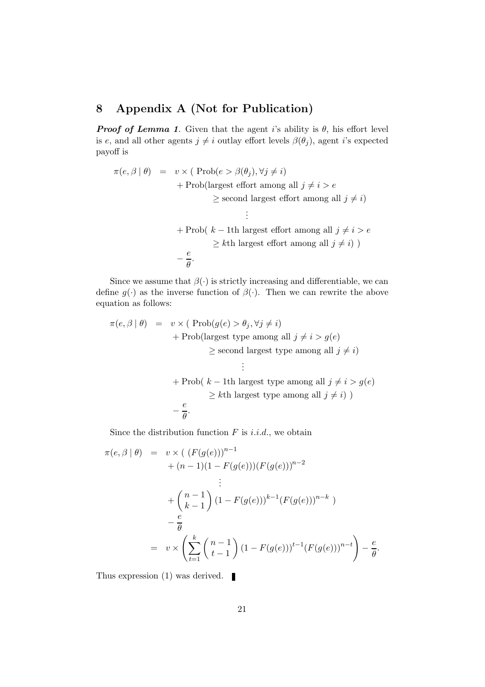# **8 Appendix A (Not for Publication)**

*Proof of Lemma 1.* Given that the agent i's ability is  $\theta$ , his effort level is e, and all other agents  $j \neq i$  outlay effort levels  $\beta(\theta_i)$ , agent i's expected payoff is

$$
\pi(e, \beta | \theta) = v \times (Prob(e > \beta(\theta_j), \forall j \neq i)
$$
  
+ Prob(largest effort among all  $j \neq i > e$   
 $\ge$  second largest effort among all  $j \neq i$ )  
 $\vdots$   
+ Prob( $k$  - 1th largest effort among all  $j \neq i > e$   
 $\ge$  kth largest effort among all  $j \neq i > e$   
 $\ge$  kth largest effort among all  $j \neq i$ )  
 $-\frac{e}{\theta}$ .

Since we assume that  $\beta(\cdot)$  is strictly increasing and differentiable, we can define  $g(\cdot)$  as the inverse function of  $\beta(\cdot)$ . Then we can rewrite the above equation as follows:

$$
\pi(e, \beta | \theta) = v \times (Prob(g(e) > \theta_j, \forall j \neq i)
$$
  
+ Prob(largest type among all  $j \neq i > g(e)$   
 $\ge$  second largest type among all  $j \neq i$ )  
 $\vdots$   
+ Prob( $k$  – 1th largest type among all  $j \neq i > g(e)$   
 $\geq k$ th largest type among all  $j \neq i$ )  
 $-\frac{e}{\theta}$ .

Since the distribution function  $F$  is *i.i.d.*, we obtain

$$
\pi(e, \beta | \theta) = v \times ( (F(g(e)))^{n-1}
$$
  
+  $(n-1)(1 - F(g(e))) (F(g(e)))^{n-2}$   

$$
\vdots
$$
  
+  $\binom{n-1}{k-1} (1 - F(g(e)))^{k-1} (F(g(e)))^{n-k}$   
-  $\frac{e}{\theta}$   
=  $v \times \left( \sum_{t=1}^{k} {n-1 \choose t-1} (1 - F(g(e)))^{t-1} (F(g(e)))^{n-t} \right) - \frac{e}{\theta}$ 

.

Thus expression (1) was derived.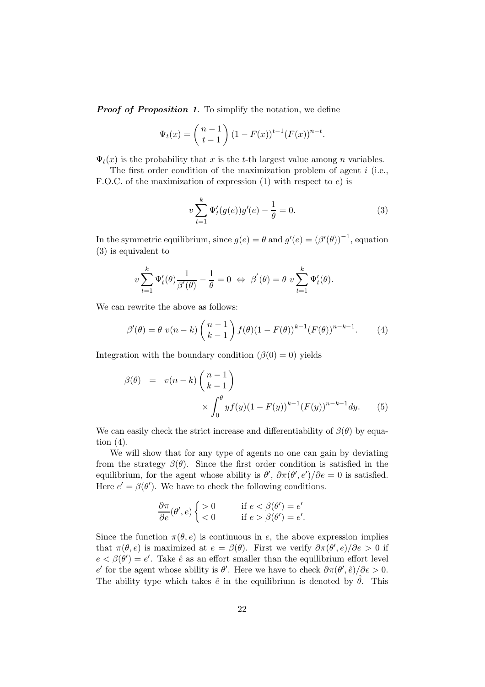*Proof of Proposition 1.* To simplify the notation, we define

$$
\Psi_t(x) = {n-1 \choose t-1} (1 - F(x))^{t-1} (F(x))^{n-t}.
$$

 $\Psi_t(x)$  is the probability that x is the t-th largest value among n variables.

The first order condition of the maximization problem of agent  $i$  (i.e., F.O.C. of the maximization of expression  $(1)$  with respect to  $e$ ) is

$$
v\sum_{t=1}^{k} \Psi'_t(g(e))g'(e) - \frac{1}{\theta} = 0.
$$
 (3)

In the symmetric equilibrium, since  $g(e) = \theta$  and  $g'(e) = (\beta'(\theta))^{-1}$ , equation (3) is equivalent to

$$
v\sum_{t=1}^k \Psi'_t(\theta) \frac{1}{\beta'(\theta)} - \frac{1}{\theta} = 0 \iff \beta'(\theta) = \theta \ v \sum_{t=1}^k \Psi'_t(\theta).
$$

We can rewrite the above as follows:

$$
\beta'(\theta) = \theta \ v(n-k) \binom{n-1}{k-1} f(\theta) (1 - F(\theta))^{k-1} (F(\theta))^{n-k-1}.
$$
 (4)

Integration with the boundary condition  $(\beta(0) = 0)$  yields

$$
\beta(\theta) = v(n-k) \binom{n-1}{k-1} \times \int_0^{\theta} y f(y) (1 - F(y))^{k-1} (F(y))^{n-k-1} dy.
$$
 (5)

We can easily check the strict increase and differentiability of  $\beta(\theta)$  by equation  $(4)$ .

We will show that for any type of agents no one can gain by deviating from the strategy  $\beta(\theta)$ . Since the first order condition is satisfied in the equilibrium, for the agent whose ability is  $\theta'$ ,  $\partial \pi(\theta', e')/\partial e = 0$  is satisfied. Here  $e' = \beta(\theta')$ . We have to check the following conditions.

$$
\frac{\partial \pi}{\partial e}(\theta', e) \begin{cases} > 0 & \text{if } e < \beta(\theta') = e' \\ < 0 & \text{if } e > \beta(\theta') = e'. \end{cases}
$$

Since the function  $\pi(\theta, e)$  is continuous in e, the above expression implies that  $\pi(\theta, e)$  is maximized at  $e = \beta(\theta)$ . First we verify  $\partial \pi(\theta, e)/\partial e > 0$  if  $e < \beta(\theta') = e'$ . Take  $\hat{e}$  as an effort smaller than the equilibrium effort level e' for the agent whose ability is  $\theta'$ . Here we have to check  $\partial \pi(\theta', \hat{e})/\partial e > 0$ . The ability type which takes  $\hat{e}$  in the equilibrium is denoted by  $\hat{\theta}$ . This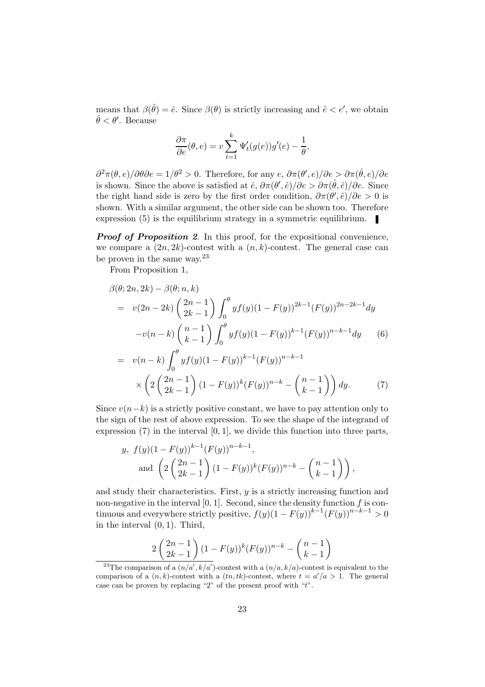means that  $\beta(\hat{\theta}) = \hat{e}$ . Since  $\beta(\theta)$  is strictly increasing and  $\hat{e} < e'$ , we obtain  $\hat{\theta} < \theta'$ . Because  $\hat{\theta} < \theta'$ . Because

$$
\frac{\partial \pi}{\partial e}(\theta, e) = v \sum_{t=1}^{k} \Psi'_t(g(e))g'(e) - \frac{1}{\theta},
$$

 $\partial^2 \pi(\theta, e)/\partial \theta \partial e = 1/\theta^2 > 0$ . Therefore, for any  $e, \partial \pi(\theta, e)/\partial e > \partial \pi(\hat{\theta}, e)/\partial e$ is shown. Since the above is satisfied at  $\hat{e}$ ,  $\partial \pi(\theta', \hat{e})/\partial e > \partial \pi(\hat{\theta}, \hat{e})/\partial e$ . Since the right hand side is zero by the first order condition,  $\partial \pi(\theta', \hat{e})/\partial e > 0$  is shown. With a similar argument, the other side can be shown too. Therefore expression (5) is the equilibrium strategy in a symmetric equilibrium.  $\blacksquare$ 

*Proof of Proposition 2.* In this proof, for the expositional convenience, we compare a  $(2n, 2k)$ -contest with a  $(n, k)$ -contest. The general case can be proven in the same way.<sup>23</sup>

From Proposition 1,

$$
\beta(\theta; 2n, 2k) - \beta(\theta; n, k)
$$
\n
$$
= v(2n - 2k) \left(\frac{2n - 1}{2k - 1}\right) \int_0^{\theta} y f(y) (1 - F(y))^{2k - 1} (F(y))^{2n - 2k - 1} dy
$$
\n
$$
-v(n - k) \left(\frac{n - 1}{k - 1}\right) \int_0^{\theta} y f(y) (1 - F(y))^{k - 1} (F(y))^{n - k - 1} dy \qquad (6)
$$
\n
$$
= v(n - k) \int_0^{\theta} y f(y) (1 - F(y))^{k - 1} (F(y))^{n - k - 1}
$$

$$
\times \left(2\left(\frac{2n-1}{2k-1}\right)(1-F(y))^k(F(y))^{n-k} - \left(\frac{n-1}{k-1}\right)\right)dy. \tag{7}
$$

Since  $v(n-k)$  is a strictly positive constant, we have to pay attention only to the sign of the rest of above expression. To see the shape of the integrand of expression  $(7)$  in the interval  $[0, 1]$ , we divide this function into three parts,

$$
y, f(y)(1 - F(y))^{k-1}(F(y))^{n-k-1},
$$
  
and  $\left(2\binom{2n-1}{2k-1}(1 - F(y))^k(F(y))^{n-k} - \binom{n-1}{k-1}\right)$ ,

and study their characteristics. First,  $y$  is a strictly increasing function and non-negative in the interval  $[0, 1]$ . Second, since the density function  $f$  is continuous and everywhere strictly positive,  $f(y)(1 - F(y))^{k-1}(F(y))^{n-k-1} > 0$ in the interval (0, 1). Third,

$$
2\binom{2n-1}{2k-1}(1-F(y))^k(F(y))^{n-k} - \binom{n-1}{k-1}
$$

<sup>&</sup>lt;sup>23</sup>The comparison of a  $(n/a', k/a')$ -contest with a  $(n/a, k/a)$ -contest is equivalent to the comparison of a  $(n, k)$ -contest with a  $(tn, tk)$ -contest, where  $t = a'/a > 1$ . The general case can be proven by replacing "2" of the present proof with "*t*".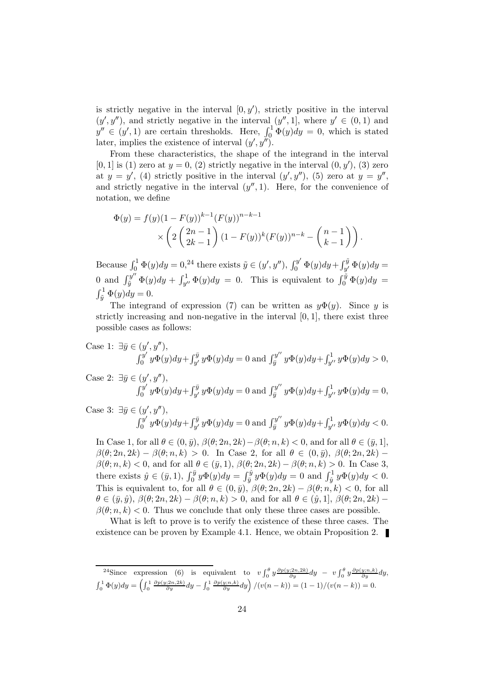is strictly negative in the interval  $[0, y')$ , strictly positive in the interval  $(y', y'')$ , and strictly negative in the interval  $(y'', 1]$ , where  $y' \in (0, 1)$  and  $y'' \in (y', 1)$  are certain thresholds. Here,  $\int_0^1 \Phi(y) dy = 0$ , which is stated later, implies the existence of interval  $(y', y'')$ .

From these characteristics, the shape of the integrand in the interval  $[0, 1]$  is (1) zero at  $y = 0$ , (2) strictly negative in the interval  $(0, y')$ , (3) zero at  $y = y'$ , (4) strictly positive in the interval  $(y', y'')$ , (5) zero at  $y = y''$ , and strictly negative in the interval  $(y'', 1)$ . Here, for the convenience of notation, we define

$$
\Phi(y) = f(y)(1 - F(y))^{k-1}(F(y))^{n-k-1}
$$
  
\$\times \left(2\left(\frac{2n-1}{2k-1}\right)(1 - F(y))^k(F(y))^{n-k} - \left(\frac{n-1}{k-1}\right)\right).

Because  $\int_0^1 \Phi(y) dy = 0,$ <sup>24</sup> there exists  $\tilde{y} \in (y', y'')$ ,  $\int_0^{y'} \Phi(y) dy + \int_{y'}^{\tilde{y}} \Phi(y) dy =$ 0 and  $\int_{\tilde{y}}^{y''}\Phi(y)dy + \int_{y''}^{1}\Phi(y)dy = 0$ . This is equivalent to  $\int_{0}^{\tilde{y}}\Phi(y)dy =$  $\int_{\tilde{y}}^{1} \Phi(y) dy = 0.$ 

The integrand of expression (7) can be written as  $y\Phi(y)$ . Since y is strictly increasing and non-negative in the interval [0, 1], there exist three possible cases as follows:

Case 1: 
$$
\exists \bar{y} \in (y', y'')
$$
,  
\n
$$
\int_0^{y'} y \Phi(y) dy + \int_{y'}^{\bar{y}} y \Phi(y) dy = 0 \text{ and } \int_{\bar{y}}^{y''} y \Phi(y) dy + \int_{y''}^1 y \Phi(y) dy > 0,
$$

Case 2: 
$$
\exists \bar{y} \in (y', y'')
$$
,  
\n
$$
\int_0^{y'} y \Phi(y) dy + \int_{y'}^{\bar{y}} y \Phi(y) dy = 0 \text{ and } \int_{\bar{y}}^{y''} y \Phi(y) dy + \int_{y''}^1 y \Phi(y) dy = 0,
$$

Case 3: 
$$
\exists \bar{y} \in (y', y'')
$$
,  
\n
$$
\int_0^{y'} y \Phi(y) dy + \int_{y'}^{\bar{y}} y \Phi(y) dy = 0 \text{ and } \int_{\bar{y}}^{y''} y \Phi(y) dy + \int_{y''}^1 y \Phi(y) dy < 0.
$$

In Case 1, for all  $\theta \in (0, \bar{y})$ ,  $\beta(\theta; 2n, 2k) - \beta(\theta; n, k) < 0$ , and for all  $\theta \in (\bar{y}, 1]$ ,  $\beta(\theta; 2n, 2k) - \beta(\theta; n, k) > 0$ . In Case 2, for all  $\theta \in (0, \bar{y})$ ,  $\beta(\theta; 2n, 2k)$  –  $\beta(\theta; n, k) < 0$ , and for all  $\theta \in (\bar{y}, 1)$ ,  $\beta(\theta; 2n, 2k) - \beta(\theta; n, k) > 0$ . In Case 3, there exists  $\hat{y} \in (\bar{y}, 1), \int_0^{\bar{y}} y \Phi(y) dy = \int_{\bar{y}}^{\hat{y}} y \Phi(y) dy = 0$  and  $\int_{\hat{y}}^1 y \Phi(y) dy < 0$ . This is equivalent to, for all  $\theta \in (0, \bar{y})$ ,  $\beta(\theta; 2n, 2k) - \beta(\theta; n, k) < 0$ , for all  $\theta \in (\bar{y}, \hat{y}), \beta(\theta; 2n, 2k) - \beta(\theta; n, k) > 0$ , and for all  $\theta \in (\hat{y}, 1], \beta(\theta; 2n, 2k)$  $\beta(\theta; n, k)$  < 0. Thus we conclude that only these three cases are possible.

What is left to prove is to verify the existence of these three cases. The existence can be proven by Example 4.1. Hence, we obtain Proposition 2.

<sup>&</sup>lt;sup>24</sup>Since expression (6) is equivalent to  $v \int_0^{\theta} y \frac{\partial p(y;2n,2k)}{\partial y} dy - v \int_0^{\theta} y \frac{\partial p(y;n,k)}{\partial y} dy$ ,<br>  $\int_0^1 \Phi(y) dy = \left( \int_0^1 \frac{\partial p(y;2n,2k)}{\partial y} dy - \int_0^1 \frac{\partial p(y;n,k)}{\partial y} dy \right) / (v(n-k)) = (1-1)/(v(n-k)) = 0.$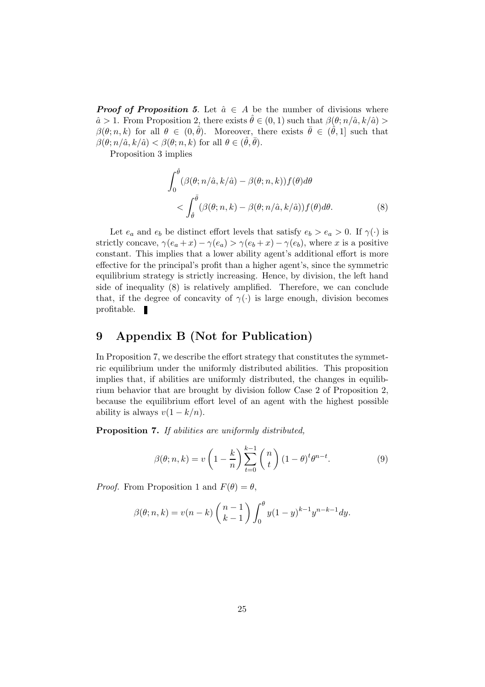*Proof of Proposition 5.* Let  $\hat{a} \in A$  be the number of divisions where  $\hat{a} > 1$ . From Proposition 2, there exists  $\hat{\theta} \in (0, 1)$  such that  $\beta(\theta; n/\hat{a}, k/\hat{a}) >$  $\beta(\theta; n, k)$  for all  $\theta \in (0, \hat{\theta})$ . Moreover, there exists  $\bar{\theta} \in (\hat{\theta}, 1]$  such that  $\beta(\theta; n/\hat{a}, k/\hat{a}) < \beta(\theta; n, k)$  for all  $\theta \in (\tilde{\theta}, \bar{\theta})$ .

Proposition 3 implies

$$
\int_{0}^{\hat{\theta}} (\beta(\theta; n/\hat{a}, k/\hat{a}) - \beta(\theta; n, k)) f(\theta) d\theta
$$
  
< 
$$
< \int_{\hat{\theta}}^{\bar{\theta}} (\beta(\theta; n, k) - \beta(\theta; n/\hat{a}, k/\hat{a})) f(\theta) d\theta.
$$
 (8)

Let  $e_a$  and  $e_b$  be distinct effort levels that satisfy  $e_b > e_a > 0$ . If  $\gamma(\cdot)$  is strictly concave,  $\gamma(e_a + x) - \gamma(e_a) > \gamma(e_b + x) - \gamma(e_b)$ , where x is a positive constant. This implies that a lower ability agent's additional effort is more effective for the principal's profit than a higher agent's, since the symmetric equilibrium strategy is strictly increasing. Hence, by division, the left hand side of inequality (8) is relatively amplified. Therefore, we can conclude that, if the degree of concavity of  $\gamma(\cdot)$  is large enough, division becomes profitable.

# **9 Appendix B (Not for Publication)**

In Proposition 7, we describe the effort strategy that constitutes the symmetric equilibrium under the uniformly distributed abilities. This proposition implies that, if abilities are uniformly distributed, the changes in equilibrium behavior that are brought by division follow Case 2 of Proposition 2, because the equilibrium effort level of an agent with the highest possible ability is always  $v(1 - k/n)$ .

**Proposition 7.** *If abilities are uniformly distributed,*

$$
\beta(\theta; n, k) = v \left( 1 - \frac{k}{n} \right) \sum_{t=0}^{k-1} {n \choose t} (1 - \theta)^t \theta^{n-t}.
$$
 (9)

*Proof.* From Proposition 1 and  $F(\theta) = \theta$ ,

$$
\beta(\theta; n, k) = v(n - k) {n - 1 \choose k - 1} \int_0^{\theta} y(1 - y)^{k - 1} y^{n - k - 1} dy.
$$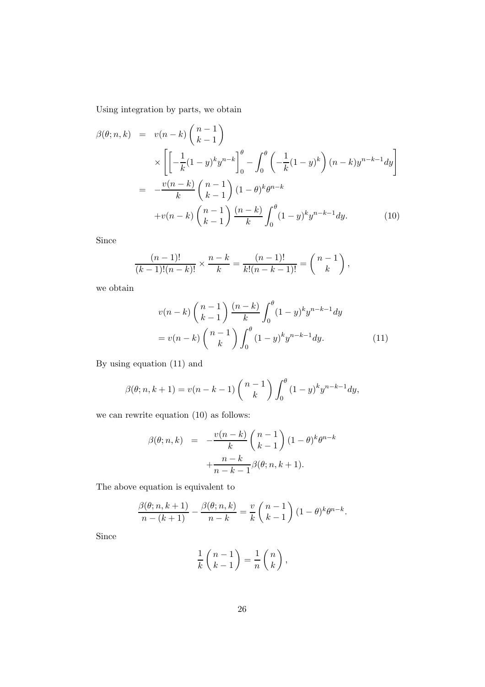Using integration by parts, we obtain

$$
\beta(\theta; n, k) = v(n-k) \binom{n-1}{k-1} \n\times \left[ \left[ -\frac{1}{k} (1-y)^k y^{n-k} \right]_0^{\theta} - \int_0^{\theta} \left( -\frac{1}{k} (1-y)^k \right) (n-k) y^{n-k-1} dy \right] \n= -\frac{v(n-k)}{k} \binom{n-1}{k-1} (1-\theta)^k \theta^{n-k} \n+ v(n-k) \binom{n-1}{k-1} \frac{(n-k)}{k} \int_0^{\theta} (1-y)^k y^{n-k-1} dy.
$$
\n(10)

Since

$$
\frac{(n-1)!}{(k-1)!(n-k)!} \times \frac{n-k}{k} = \frac{(n-1)!}{k!(n-k-1)!} = \binom{n-1}{k},
$$

we obtain

$$
v(n-k)\binom{n-1}{k-1}\frac{(n-k)}{k}\int_0^{\theta}(1-y)^{k}y^{n-k-1}dy
$$
  
=  $v(n-k)\binom{n-1}{k}\int_0^{\theta}(1-y)^{k}y^{n-k-1}dy.$  (11)

By using equation (11) and

$$
\beta(\theta; n, k+1) = v(n-k-1) \binom{n-1}{k} \int_0^{\theta} (1-y)^k y^{n-k-1} dy,
$$

we can rewrite equation (10) as follows:

$$
\beta(\theta; n, k) = -\frac{v(n-k)}{k} {n-1 \choose k-1} (1-\theta)^k \theta^{n-k} + \frac{n-k}{n-k-1} \beta(\theta; n, k+1).
$$

The above equation is equivalent to

$$
\frac{\beta(\theta; n, k+1)}{n-(k+1)} - \frac{\beta(\theta; n, k)}{n-k} = \frac{v}{k} \binom{n-1}{k-1} (1-\theta)^k \theta^{n-k}.
$$

Since

$$
\frac{1}{k} \binom{n-1}{k-1} = \frac{1}{n} \binom{n}{k},
$$